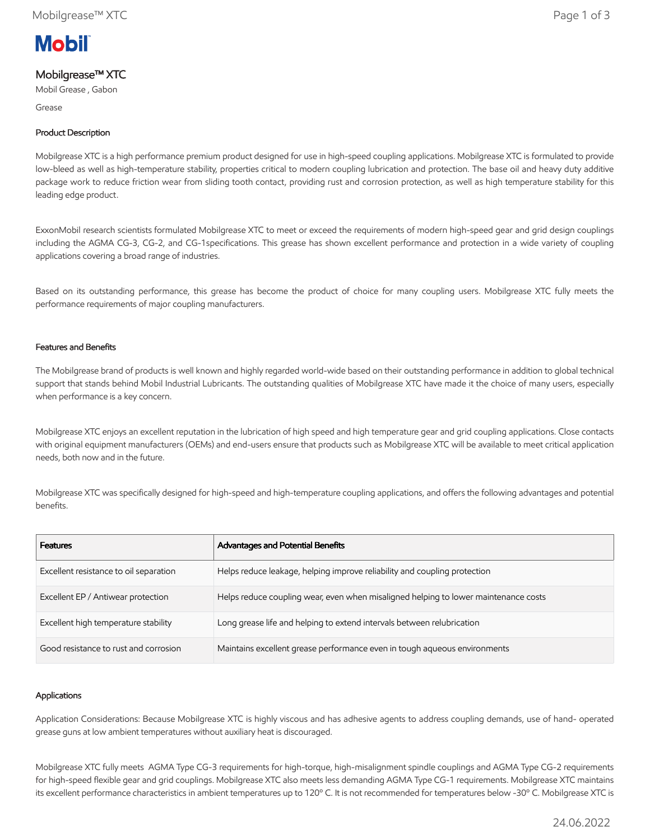

# Mobilgrease™ XTC

Mobil Grease , Gabon

Grease

### Product Description

Mobilgrease XTC is a high performance premium product designed for use in high-speed coupling applications. Mobilgrease XTC is formulated to provide low-bleed as well as high-temperature stability, properties critical to modern coupling lubrication and protection. The base oil and heavy duty additive package work to reduce friction wear from sliding tooth contact, providing rust and corrosion protection, as well as high temperature stability for this leading edge product.

ExxonMobil research scientists formulated Mobilgrease XTC to meet or exceed the requirements of modern high-speed gear and grid design couplings including the AGMA CG-3, CG-2, and CG-1specifications. This grease has shown excellent performance and protection in a wide variety of coupling applications covering a broad range of industries.

Based on its outstanding performance, this grease has become the product of choice for many coupling users. Mobilgrease XTC fully meets the performance requirements of major coupling manufacturers.

### Features and Benefits

The Mobilgrease brand of products is well known and highly regarded world-wide based on their outstanding performance in addition to global technical support that stands behind Mobil Industrial Lubricants. The outstanding qualities of Mobilgrease XTC have made it the choice of many users, especially when performance is a key concern.

Mobilgrease XTC enjoys an excellent reputation in the lubrication of high speed and high temperature gear and grid coupling applications. Close contacts with original equipment manufacturers (OEMs) and end-users ensure that products such as Mobilgrease XTC will be available to meet critical application needs, both now and in the future.

Mobilgrease XTC was specifically designed for high-speed and high-temperature coupling applications, and offers the following advantages and potential benefits.

| <b>Features</b>                        | Advantages and Potential Benefits                                                   |
|----------------------------------------|-------------------------------------------------------------------------------------|
| Excellent resistance to oil separation | Helps reduce leakage, helping improve reliability and coupling protection           |
| Excellent EP / Antiwear protection     | Helps reduce coupling wear, even when misaligned helping to lower maintenance costs |
| Excellent high temperature stability   | Long grease life and helping to extend intervals between relubrication              |
| Good resistance to rust and corrosion  | Maintains excellent grease performance even in tough aqueous environments           |

#### Applications

Application Considerations: Because Mobilgrease XTC is highly viscous and has adhesive agents to address coupling demands, use of hand- operated grease guns at low ambient temperatures without auxiliary heat is discouraged.

Mobilgrease XTC fully meets AGMA Type CG-3 requirements for high-torque, high-misalignment spindle couplings and AGMA Type CG-2 requirements for high-speed flexible gear and grid couplings. Mobilgrease XTC also meets less demanding AGMA Type CG-1 requirements. Mobilgrease XTC maintains its excellent performance characteristics in ambient temperatures up to 120º C. It is not recommended for temperatures below -30º C. Mobilgrease XTC is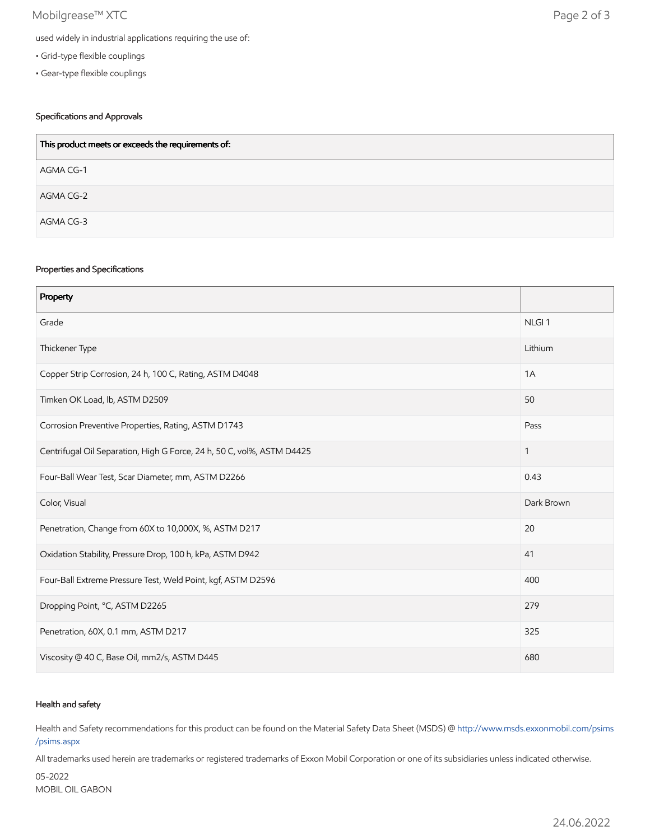## Mobilgrease™ XTC Page 2 of 3

- Grid-type flexible couplings
- Gear-type flexible couplings

### Specifications and Approvals

| This product meets or exceeds the requirements of: |
|----------------------------------------------------|
| AGMA CG-1                                          |
| AGMA CG-2                                          |
| AGMA CG-3                                          |

#### Properties and Specifications

| Property                                                               |                   |
|------------------------------------------------------------------------|-------------------|
| Grade                                                                  | NLGI <sub>1</sub> |
| Thickener Type                                                         | Lithium           |
| Copper Strip Corrosion, 24 h, 100 C, Rating, ASTM D4048                | 1A                |
| Timken OK Load, lb, ASTM D2509                                         | 50                |
| Corrosion Preventive Properties, Rating, ASTM D1743                    | Pass              |
| Centrifugal Oil Separation, High G Force, 24 h, 50 C, vol%, ASTM D4425 | 1                 |
| Four-Ball Wear Test, Scar Diameter, mm, ASTM D2266                     | 0.43              |
| Color, Visual                                                          | Dark Brown        |
| Penetration, Change from 60X to 10,000X, %, ASTM D217                  | 20                |
| Oxidation Stability, Pressure Drop, 100 h, kPa, ASTM D942              | 41                |
| Four-Ball Extreme Pressure Test, Weld Point, kgf, ASTM D2596           | 400               |
| Dropping Point, °C, ASTM D2265                                         | 279               |
| Penetration, 60X, 0.1 mm, ASTM D217                                    | 325               |
| Viscosity @ 40 C, Base Oil, mm2/s, ASTM D445                           | 680               |

### Health and safety

Health and Safety recommendations for this product can be found on the Material Safety Data Sheet (MSDS) @ [http://www.msds.exxonmobil.com/psims](http://www.msds.exxonmobil.com/psims/psims.aspx) /psims.aspx

All trademarks used herein are trademarks or registered trademarks of Exxon Mobil Corporation or one of its subsidiaries unless indicated otherwise.

05-2022 MOBIL OIL GABON